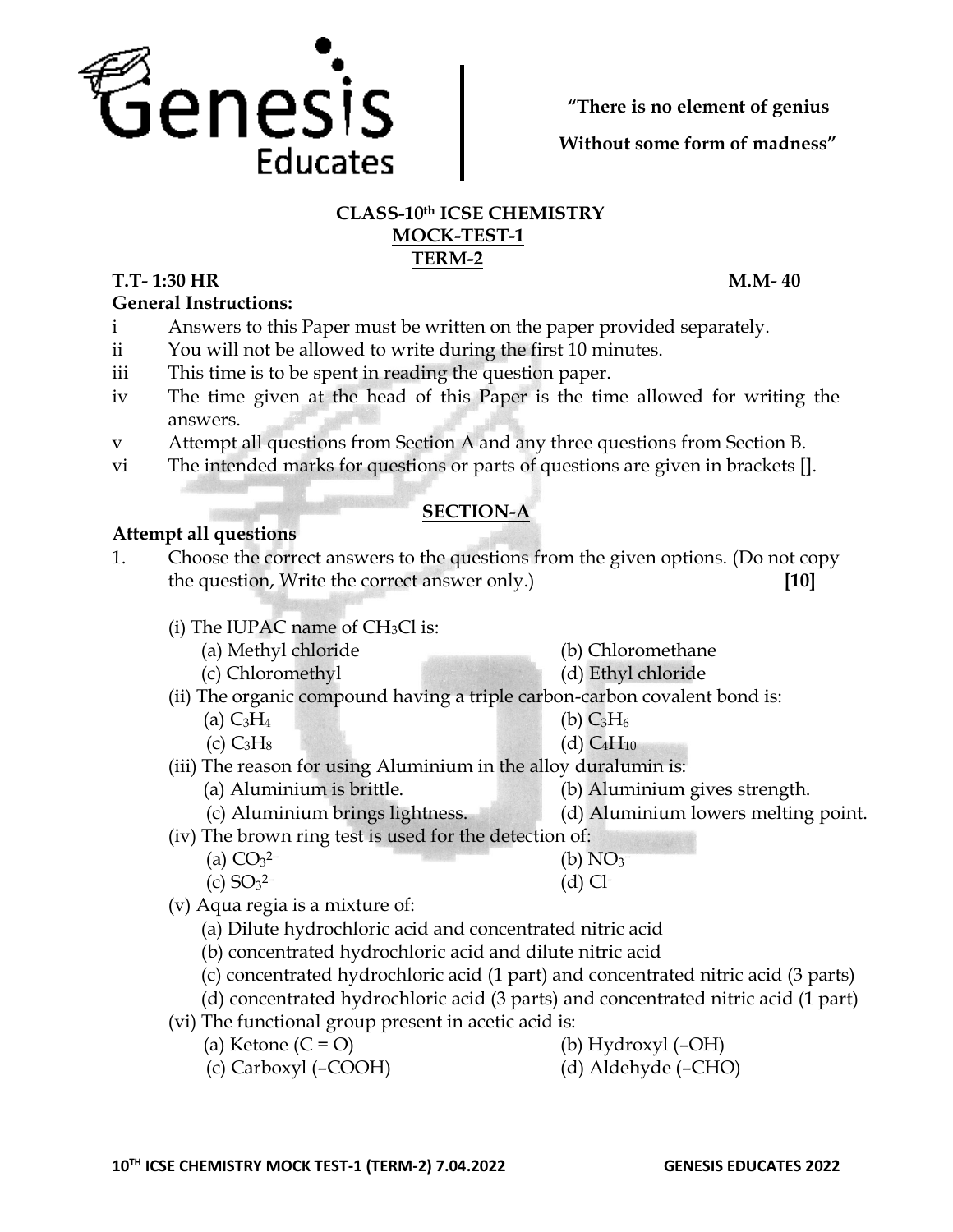

**"There is no element of genius**

**Without some form of madness"**

#### **CLASS-10th ICSE CHEMISTRY MOCK-TEST-1 TERM-2**

# **T.T- 1:30 HR M.M- 40**

**General Instructions:** 

- i Answers to this Paper must be written on the paper provided separately.
- ii You will not be allowed to write during the first 10 minutes.
- iii This time is to be spent in reading the question paper.
- iv The time given at the head of this Paper is the time allowed for writing the answers.
- v Attempt all questions from Section A and any three questions from Section B.
- vi The intended marks for questions or parts of questions are given in brackets [].

## **SECTION-A**

## **Attempt all questions**

- 1. Choose the correct answers to the questions from the given options. (Do not copy the question, Write the correct answer only.) **[10]**
	- (i) The IUPAC name of  $CH<sub>3</sub>Cl$  is:
		- (a) Methyl chloride (b) Chloromethane
	- (c) Chloromethyl (d) Ethyl chloride
	- (ii) The organic compound having a triple carbon-carbon covalent bond is:
		- (a)  $C_3H_4$  (b)  $C_3H_6$
		- (c)  $C_3H_8$  (d)  $C_4H_{10}$
	- (iii) The reason for using Aluminium in the alloy duralumin is:
		- (a) Aluminium is brittle. (b) Aluminium gives strength.
		- (c) Aluminium brings lightness. (d) Aluminium lowers melting point.

(iv) The brown ring test is used for the detection of:

- $(b) NO<sub>3</sub>$  $(d)$  Cl-
- $(c)$  SO<sub>3</sub><sup>2-</sup> (v) Aqua regia is a mixture of:

(a)  $CO<sub>3</sub><sup>2</sup>$ 

- (a) Dilute hydrochloric acid and concentrated nitric acid
- (b) concentrated hydrochloric acid and dilute nitric acid
- (c) concentrated hydrochloric acid (1 part) and concentrated nitric acid (3 parts)
- (d) concentrated hydrochloric acid (3 parts) and concentrated nitric acid (1 part)
- (vi) The functional group present in acetic acid is:
	- (a) Ketone  $(C = O)$  (b) Hydroxyl (–OH)
	- (c) Carboxyl (–COOH) (d) Aldehyde (–CHO)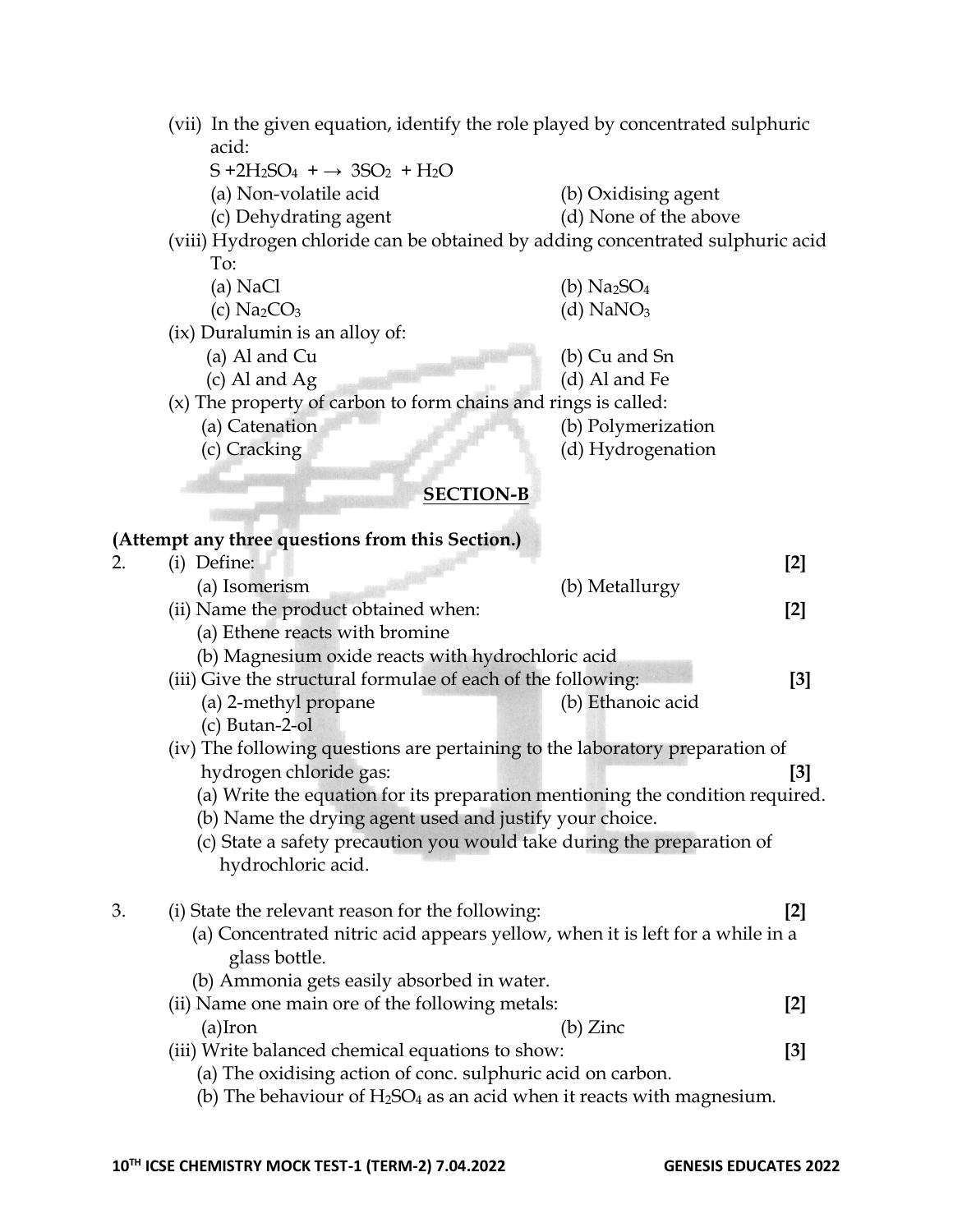| (vii) In the given equation, identify the role played by concentrated sulphuric |  |
|---------------------------------------------------------------------------------|--|
| acid:                                                                           |  |

- $S + 2H_2SO_4 + \rightarrow 3SO_2 + H_2O$
- 
- (a) Non-volatile acid (b) Oxidising agent
- (c) Dehydrating agent (d) None of the above

(viii) Hydrogen chloride can be obtained by adding concentrated sulphuric acid To:

- (a) NaCl  $(b)$  Na<sub>2</sub>SO<sub>4</sub> (c)  $Na_2CO_3$  (d)  $NaNO_3$ (ix) Duralumin is an alloy of: (a) Al and Cu (b) Cu and Sn (c) Al and Ag (d) Al and Fe (x) The property of carbon to form chains and rings is called:
	- (a) Catenation (b) Polymerization (c) Cracking (d) Hydrogenation

#### **SECTION-B**

|                                                                          | $[2]$                                                                                                                                                                                                                                                                                                                                                                                                                                                                                                                                                                                                                                                                          |
|--------------------------------------------------------------------------|--------------------------------------------------------------------------------------------------------------------------------------------------------------------------------------------------------------------------------------------------------------------------------------------------------------------------------------------------------------------------------------------------------------------------------------------------------------------------------------------------------------------------------------------------------------------------------------------------------------------------------------------------------------------------------|
| (b) Metallurgy                                                           |                                                                                                                                                                                                                                                                                                                                                                                                                                                                                                                                                                                                                                                                                |
|                                                                          | $[2]$                                                                                                                                                                                                                                                                                                                                                                                                                                                                                                                                                                                                                                                                          |
|                                                                          |                                                                                                                                                                                                                                                                                                                                                                                                                                                                                                                                                                                                                                                                                |
|                                                                          |                                                                                                                                                                                                                                                                                                                                                                                                                                                                                                                                                                                                                                                                                |
|                                                                          | [3]                                                                                                                                                                                                                                                                                                                                                                                                                                                                                                                                                                                                                                                                            |
| (b) Ethanoic acid                                                        |                                                                                                                                                                                                                                                                                                                                                                                                                                                                                                                                                                                                                                                                                |
|                                                                          |                                                                                                                                                                                                                                                                                                                                                                                                                                                                                                                                                                                                                                                                                |
|                                                                          |                                                                                                                                                                                                                                                                                                                                                                                                                                                                                                                                                                                                                                                                                |
|                                                                          | $[3]$                                                                                                                                                                                                                                                                                                                                                                                                                                                                                                                                                                                                                                                                          |
|                                                                          |                                                                                                                                                                                                                                                                                                                                                                                                                                                                                                                                                                                                                                                                                |
|                                                                          |                                                                                                                                                                                                                                                                                                                                                                                                                                                                                                                                                                                                                                                                                |
|                                                                          |                                                                                                                                                                                                                                                                                                                                                                                                                                                                                                                                                                                                                                                                                |
|                                                                          |                                                                                                                                                                                                                                                                                                                                                                                                                                                                                                                                                                                                                                                                                |
|                                                                          | $\lceil 2 \rceil$                                                                                                                                                                                                                                                                                                                                                                                                                                                                                                                                                                                                                                                              |
|                                                                          |                                                                                                                                                                                                                                                                                                                                                                                                                                                                                                                                                                                                                                                                                |
|                                                                          |                                                                                                                                                                                                                                                                                                                                                                                                                                                                                                                                                                                                                                                                                |
|                                                                          |                                                                                                                                                                                                                                                                                                                                                                                                                                                                                                                                                                                                                                                                                |
|                                                                          | $[2]$                                                                                                                                                                                                                                                                                                                                                                                                                                                                                                                                                                                                                                                                          |
| (b) Zinc                                                                 |                                                                                                                                                                                                                                                                                                                                                                                                                                                                                                                                                                                                                                                                                |
|                                                                          | [3]                                                                                                                                                                                                                                                                                                                                                                                                                                                                                                                                                                                                                                                                            |
|                                                                          |                                                                                                                                                                                                                                                                                                                                                                                                                                                                                                                                                                                                                                                                                |
| (b) The behaviour of $H_2SO_4$ as an acid when it reacts with magnesium. |                                                                                                                                                                                                                                                                                                                                                                                                                                                                                                                                                                                                                                                                                |
|                                                                          | (b) Magnesium oxide reacts with hydrochloric acid<br>(iii) Give the structural formulae of each of the following:<br>(iv) The following questions are pertaining to the laboratory preparation of<br>(a) Write the equation for its preparation mentioning the condition required.<br>(b) Name the drying agent used and justify your choice.<br>(c) State a safety precaution you would take during the preparation of<br>(a) Concentrated nitric acid appears yellow, when it is left for a while in a<br>(ii) Name one main ore of the following metals:<br>(iii) Write balanced chemical equations to show:<br>(a) The oxidising action of conc. sulphuric acid on carbon. |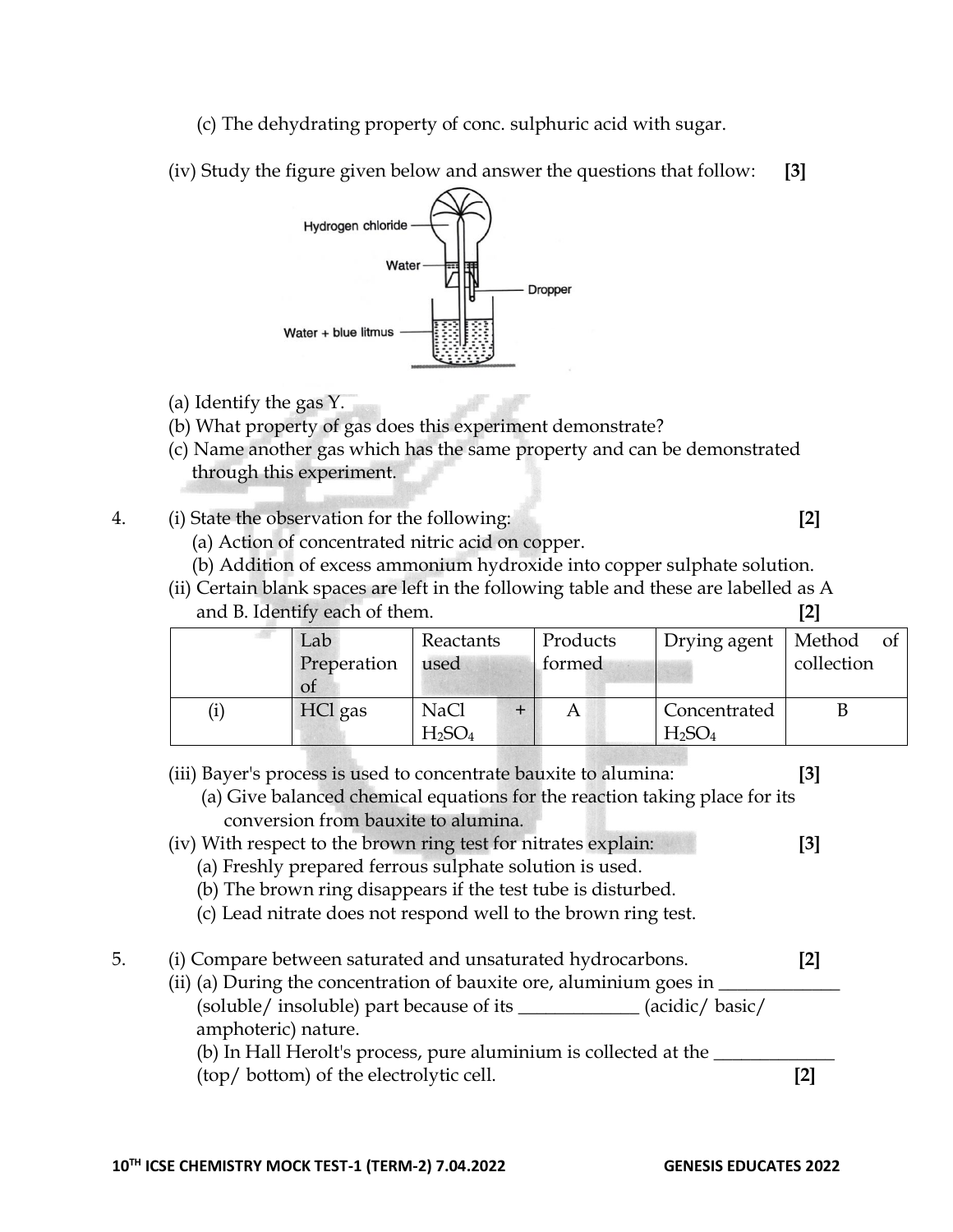- (c) The dehydrating property of conc. sulphuric acid with sugar.
- (iv) Study the figure given below and answer the questions that follow: **[3]**



- (a) Identify the gas Y.
- (b) What property of gas does this experiment demonstrate?
- (c) Name another gas which has the same property and can be demonstrated through this experiment.
- 4. (i) State the observation for the following: **[2]**
	- (a) Action of concentrated nitric acid on copper.
	- (b) Addition of excess ammonium hydroxide into copper sulphate solution.
	- (ii) Certain blank spaces are left in the following table and these are labelled as A and B. Identify each of them. **[2]**

| Lab<br>Preperation<br>Οt | Reactants<br>used                             | Products<br>formed | Drying agent                                   | Method<br>οt<br>collection |
|--------------------------|-----------------------------------------------|--------------------|------------------------------------------------|----------------------------|
| HCl gas                  | <b>NaCl</b><br>H <sub>2</sub> SO <sub>4</sub> |                    | Concentrated<br>H <sub>2</sub> SO <sub>4</sub> |                            |

- (iii) Bayer's process is used to concentrate bauxite to alumina: **[3]**
	- (a) Give balanced chemical equations for the reaction taking place for its conversion from bauxite to alumina.
- (iv) With respect to the brown ring test for nitrates explain: **[3]**
	- (a) Freshly prepared ferrous sulphate solution is used.
	- (b) The brown ring disappears if the test tube is disturbed.
	- (c) Lead nitrate does not respond well to the brown ring test.
- 5. (i) Compare between saturated and unsaturated hydrocarbons. **[2]**
	- (ii) (a) During the concentration of bauxite ore, aluminium goes in  $\overline{\phantom{a}}$  (soluble/ insoluble) part because of its \_\_\_\_\_\_\_\_\_\_\_\_\_ (acidic/ basic/ amphoteric) nature.

(b) In Hall Herolt's process, pure aluminium is collected at the (top/ bottom) of the electrolytic cell. **[2]**